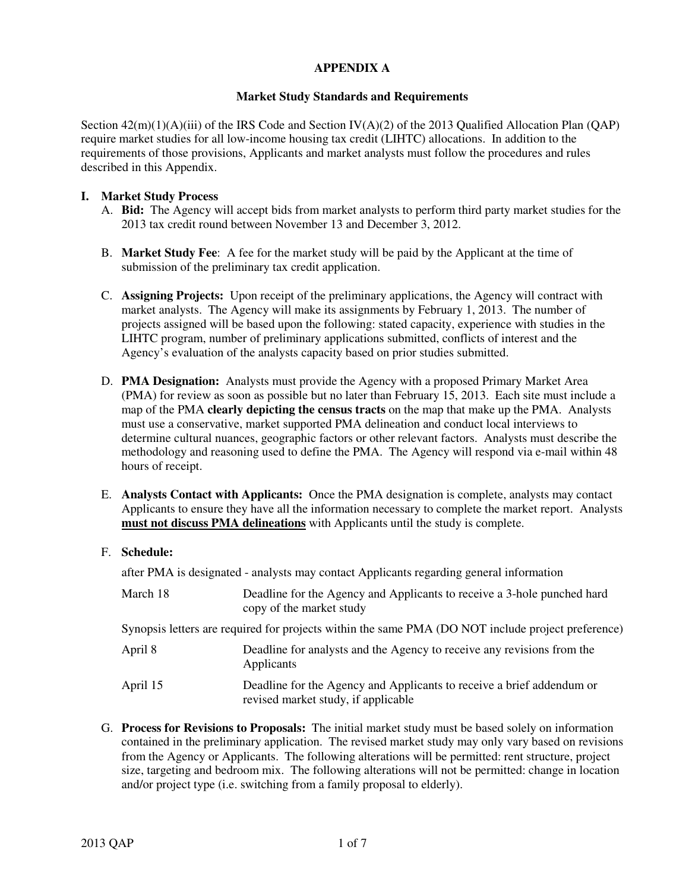# **APPENDIX A**

## **Market Study Standards and Requirements**

Section  $42(m)(1)(A)(iii)$  of the IRS Code and Section IV(A)(2) of the 2013 Qualified Allocation Plan (QAP) require market studies for all low-income housing tax credit (LIHTC) allocations. In addition to the requirements of those provisions, Applicants and market analysts must follow the procedures and rules described in this Appendix.

### **I. Market Study Process**

- A. **Bid:** The Agency will accept bids from market analysts to perform third party market studies for the 2013 tax credit round between November 13 and December 3, 2012.
- B. **Market Study Fee**: A fee for the market study will be paid by the Applicant at the time of submission of the preliminary tax credit application.
- C. **Assigning Projects:** Upon receipt of the preliminary applications, the Agency will contract with market analysts. The Agency will make its assignments by February 1, 2013. The number of projects assigned will be based upon the following: stated capacity, experience with studies in the LIHTC program, number of preliminary applications submitted, conflicts of interest and the Agency's evaluation of the analysts capacity based on prior studies submitted.
- D. **PMA Designation:** Analysts must provide the Agency with a proposed Primary Market Area (PMA) for review as soon as possible but no later than February 15, 2013. Each site must include a map of the PMA **clearly depicting the census tracts** on the map that make up the PMA. Analysts must use a conservative, market supported PMA delineation and conduct local interviews to determine cultural nuances, geographic factors or other relevant factors. Analysts must describe the methodology and reasoning used to define the PMA. The Agency will respond via e-mail within 48 hours of receipt.
- E. **Analysts Contact with Applicants:** Once the PMA designation is complete, analysts may contact Applicants to ensure they have all the information necessary to complete the market report. Analysts **must not discuss PMA delineations** with Applicants until the study is complete.

## F. **Schedule:**

after PMA is designated - analysts may contact Applicants regarding general information

revised market study, if applicable

| March 18 | Deadline for the Agency and Applicants to receive a 3-hole punched hard<br>copy of the market study |
|----------|-----------------------------------------------------------------------------------------------------|
|          | Synopsis letters are required for projects within the same PMA (DO NOT include project preference)  |
| April 8  | Deadline for analysts and the Agency to receive any revisions from the<br>Applicants                |
| April 15 | Deadline for the Agency and Applicants to receive a brief addendum or                               |

G. **Process for Revisions to Proposals:** The initial market study must be based solely on information contained in the preliminary application. The revised market study may only vary based on revisions from the Agency or Applicants. The following alterations will be permitted: rent structure, project size, targeting and bedroom mix. The following alterations will not be permitted: change in location and/or project type (i.e. switching from a family proposal to elderly).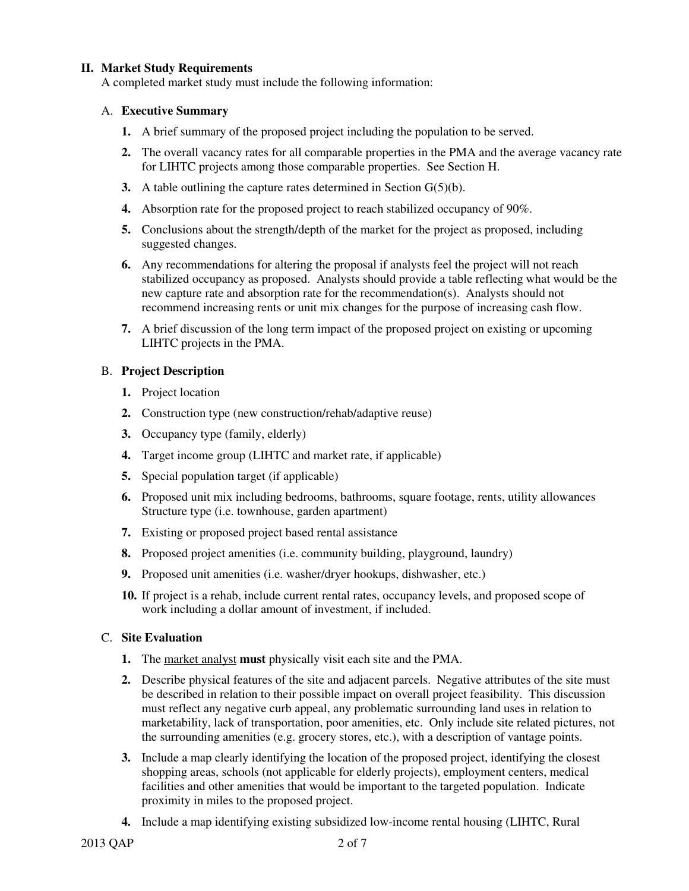### **II. Market Study Requirements**

A completed market study must include the following information:

#### A. **Executive Summary**

- **1.** A brief summary of the proposed project including the population to be served.
- **2.** The overall vacancy rates for all comparable properties in the PMA and the average vacancy rate for LIHTC projects among those comparable properties. See Section H.
- **3.** A table outlining the capture rates determined in Section G(5)(b).
- **4.** Absorption rate for the proposed project to reach stabilized occupancy of 90%.
- **5.** Conclusions about the strength/depth of the market for the project as proposed, including suggested changes.
- **6.** Any recommendations for altering the proposal if analysts feel the project will not reach stabilized occupancy as proposed. Analysts should provide a table reflecting what would be the new capture rate and absorption rate for the recommendation(s). Analysts should not recommend increasing rents or unit mix changes for the purpose of increasing cash flow.
- **7.** A brief discussion of the long term impact of the proposed project on existing or upcoming LIHTC projects in the PMA.

#### B. **Project Description**

- **1.** Project location
- **2.** Construction type (new construction/rehab/adaptive reuse)
- **3.** Occupancy type (family, elderly)
- **4.** Target income group (LIHTC and market rate, if applicable)
- **5.** Special population target (if applicable)
- **6.** Proposed unit mix including bedrooms, bathrooms, square footage, rents, utility allowances Structure type (i.e. townhouse, garden apartment)
- **7.** Existing or proposed project based rental assistance
- **8.** Proposed project amenities (i.e. community building, playground, laundry)
- **9.** Proposed unit amenities (i.e. washer/dryer hookups, dishwasher, etc.)
- **10.** If project is a rehab, include current rental rates, occupancy levels, and proposed scope of work including a dollar amount of investment, if included.

### C. **Site Evaluation**

- **1.** The market analyst **must** physically visit each site and the PMA.
- **2.** Describe physical features of the site and adjacent parcels. Negative attributes of the site must be described in relation to their possible impact on overall project feasibility. This discussion must reflect any negative curb appeal, any problematic surrounding land uses in relation to marketability, lack of transportation, poor amenities, etc. Only include site related pictures, not the surrounding amenities (e.g. grocery stores, etc.), with a description of vantage points.
- **3.** Include a map clearly identifying the location of the proposed project, identifying the closest shopping areas, schools (not applicable for elderly projects), employment centers, medical facilities and other amenities that would be important to the targeted population. Indicate proximity in miles to the proposed project.
- **4.** Include a map identifying existing subsidized low-income rental housing (LIHTC, Rural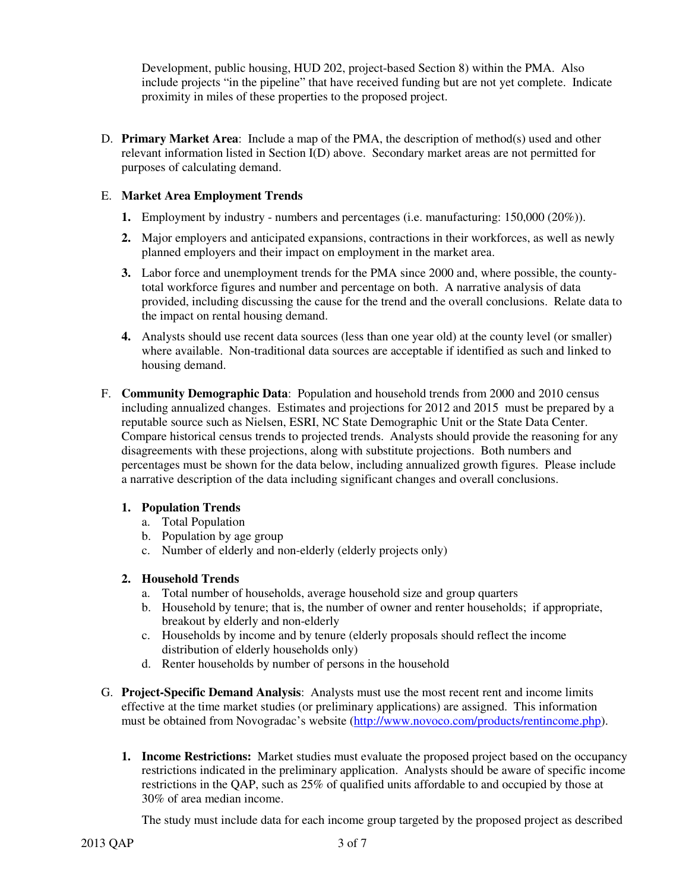Development, public housing, HUD 202, project-based Section 8) within the PMA. Also include projects "in the pipeline" that have received funding but are not yet complete. Indicate proximity in miles of these properties to the proposed project.

D. **Primary Market Area**: Include a map of the PMA, the description of method(s) used and other relevant information listed in Section I(D) above. Secondary market areas are not permitted for purposes of calculating demand.

## E. **Market Area Employment Trends**

- **1.** Employment by industry numbers and percentages (i.e. manufacturing: 150,000 (20%)).
- **2.** Major employers and anticipated expansions, contractions in their workforces, as well as newly planned employers and their impact on employment in the market area.
- **3.** Labor force and unemployment trends for the PMA since 2000 and, where possible, the countytotal workforce figures and number and percentage on both. A narrative analysis of data provided, including discussing the cause for the trend and the overall conclusions. Relate data to the impact on rental housing demand.
- **4.** Analysts should use recent data sources (less than one year old) at the county level (or smaller) where available. Non-traditional data sources are acceptable if identified as such and linked to housing demand.
- F. **Community Demographic Data**: Population and household trends from 2000 and 2010 census including annualized changes. Estimates and projections for 2012 and 2015 must be prepared by a reputable source such as Nielsen, ESRI, NC State Demographic Unit or the State Data Center. Compare historical census trends to projected trends. Analysts should provide the reasoning for any disagreements with these projections, along with substitute projections. Both numbers and percentages must be shown for the data below, including annualized growth figures. Please include a narrative description of the data including significant changes and overall conclusions.

#### **1. Population Trends**

- a. Total Population
- b. Population by age group
- c. Number of elderly and non-elderly (elderly projects only)

#### **2. Household Trends**

- a. Total number of households, average household size and group quarters
- b. Household by tenure; that is, the number of owner and renter households; if appropriate, breakout by elderly and non-elderly
- c. Households by income and by tenure (elderly proposals should reflect the income distribution of elderly households only)
- d. Renter households by number of persons in the household
- G. **Project-Specific Demand Analysis**: Analysts must use the most recent rent and income limits effective at the time market studies (or preliminary applications) are assigned. This information must be obtained from Novogradac's website (http://www.novoco.com/products/rentincome.php).
	- **1. Income Restrictions:** Market studies must evaluate the proposed project based on the occupancy restrictions indicated in the preliminary application. Analysts should be aware of specific income restrictions in the QAP, such as 25% of qualified units affordable to and occupied by those at 30% of area median income.

The study must include data for each income group targeted by the proposed project as described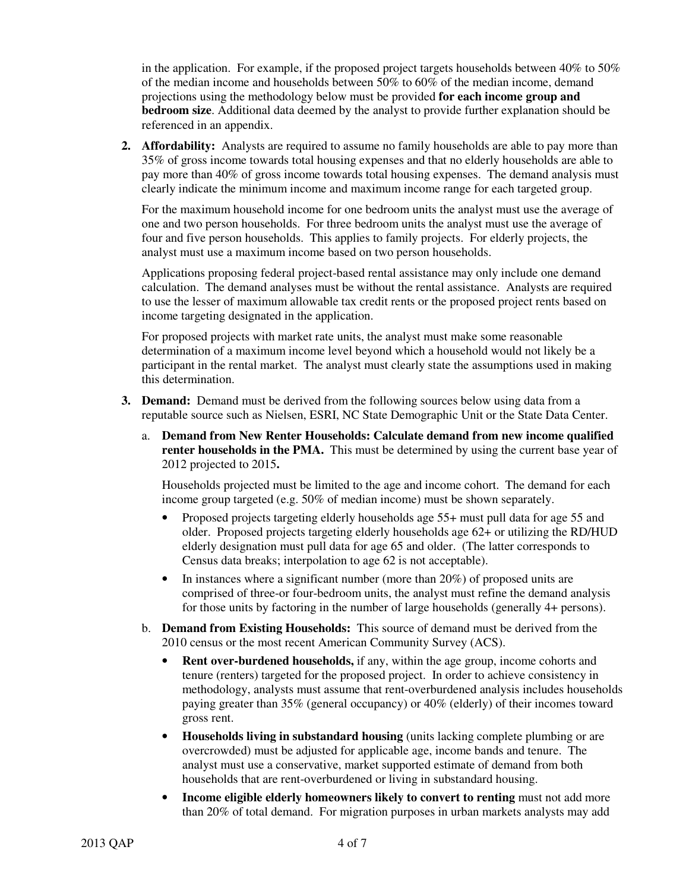in the application. For example, if the proposed project targets households between  $40\%$  to  $50\%$ of the median income and households between 50% to 60% of the median income, demand projections using the methodology below must be provided **for each income group and bedroom size**. Additional data deemed by the analyst to provide further explanation should be referenced in an appendix.

**2. Affordability:** Analysts are required to assume no family households are able to pay more than 35% of gross income towards total housing expenses and that no elderly households are able to pay more than 40% of gross income towards total housing expenses. The demand analysis must clearly indicate the minimum income and maximum income range for each targeted group.

For the maximum household income for one bedroom units the analyst must use the average of one and two person households. For three bedroom units the analyst must use the average of four and five person households. This applies to family projects. For elderly projects, the analyst must use a maximum income based on two person households.

Applications proposing federal project-based rental assistance may only include one demand calculation. The demand analyses must be without the rental assistance. Analysts are required to use the lesser of maximum allowable tax credit rents or the proposed project rents based on income targeting designated in the application.

For proposed projects with market rate units, the analyst must make some reasonable determination of a maximum income level beyond which a household would not likely be a participant in the rental market. The analyst must clearly state the assumptions used in making this determination.

- **3. Demand:** Demand must be derived from the following sources below using data from a reputable source such as Nielsen, ESRI, NC State Demographic Unit or the State Data Center.
	- a. **Demand from New Renter Households: Calculate demand from new income qualified renter households in the PMA.** This must be determined by using the current base year of 2012 projected to 2015**.**

Households projected must be limited to the age and income cohort.The demand for each income group targeted (e.g. 50% of median income) must be shown separately.

- Proposed projects targeting elderly households age 55+ must pull data for age 55 and older. Proposed projects targeting elderly households age 62+ or utilizing the RD/HUD elderly designation must pull data for age 65 and older. (The latter corresponds to Census data breaks; interpolation to age 62 is not acceptable).
- In instances where a significant number (more than 20%) of proposed units are comprised of three-or four-bedroom units, the analyst must refine the demand analysis for those units by factoring in the number of large households (generally 4+ persons).
- b. **Demand from Existing Households:** This source of demand must be derived from the 2010 census or the most recent American Community Survey (ACS).
	- **Rent over-burdened households,** if any, within the age group, income cohorts and tenure (renters) targeted for the proposed project. In order to achieve consistency in methodology, analysts must assume that rent-overburdened analysis includes households paying greater than 35% (general occupancy) or 40% (elderly) of their incomes toward gross rent.
	- **Households living in substandard housing** (units lacking complete plumbing or are overcrowded) must be adjusted for applicable age, income bands and tenure. The analyst must use a conservative, market supported estimate of demand from both households that are rent-overburdened or living in substandard housing.
	- **Income eligible elderly homeowners likely to convert to renting** must not add more than 20% of total demand. For migration purposes in urban markets analysts may add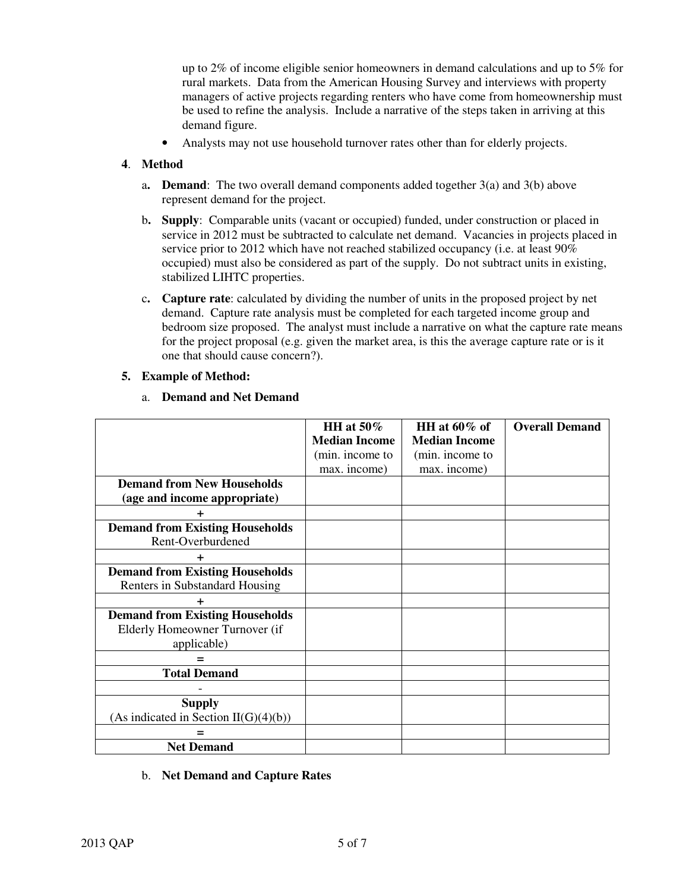up to 2% of income eligible senior homeowners in demand calculations and up to 5% for rural markets. Data from the American Housing Survey and interviews with property managers of active projects regarding renters who have come from homeownership must be used to refine the analysis. Include a narrative of the steps taken in arriving at this demand figure.

• Analysts may not use household turnover rates other than for elderly projects.

# **4**. **Method**

- a**. Demand**: The two overall demand components added together 3(a) and 3(b) above represent demand for the project.
- b**. Supply**: Comparable units (vacant or occupied) funded, under construction or placed in service in 2012 must be subtracted to calculate net demand. Vacancies in projects placed in service prior to 2012 which have not reached stabilized occupancy (i.e. at least 90% occupied) must also be considered as part of the supply. Do not subtract units in existing, stabilized LIHTC properties.
- c**. Capture rate**: calculated by dividing the number of units in the proposed project by net demand. Capture rate analysis must be completed for each targeted income group and bedroom size proposed. The analyst must include a narrative on what the capture rate means for the project proposal (e.g. given the market area, is this the average capture rate or is it one that should cause concern?).

#### **5. Example of Method:**

#### a. **Demand and Net Demand**

|                                                                          | HH at $50\%$         | HH at $60\%$ of      | <b>Overall Demand</b> |
|--------------------------------------------------------------------------|----------------------|----------------------|-----------------------|
|                                                                          | <b>Median Income</b> | <b>Median Income</b> |                       |
|                                                                          | (min. income to      | (min. income to      |                       |
|                                                                          | max. income)         | max. income)         |                       |
| <b>Demand from New Households</b>                                        |                      |                      |                       |
| (age and income appropriate)                                             |                      |                      |                       |
| ┿                                                                        |                      |                      |                       |
| <b>Demand from Existing Households</b><br>Rent-Overburdened              |                      |                      |                       |
| ٠                                                                        |                      |                      |                       |
| <b>Demand from Existing Households</b><br>Renters in Substandard Housing |                      |                      |                       |
| +                                                                        |                      |                      |                       |
| <b>Demand from Existing Households</b>                                   |                      |                      |                       |
| Elderly Homeowner Turnover (if                                           |                      |                      |                       |
| applicable)                                                              |                      |                      |                       |
|                                                                          |                      |                      |                       |
| <b>Total Demand</b>                                                      |                      |                      |                       |
|                                                                          |                      |                      |                       |
| <b>Supply</b>                                                            |                      |                      |                       |
| (As indicated in Section II(G)(4)(b))                                    |                      |                      |                       |
|                                                                          |                      |                      |                       |
| <b>Net Demand</b>                                                        |                      |                      |                       |

#### b. **Net Demand and Capture Rates**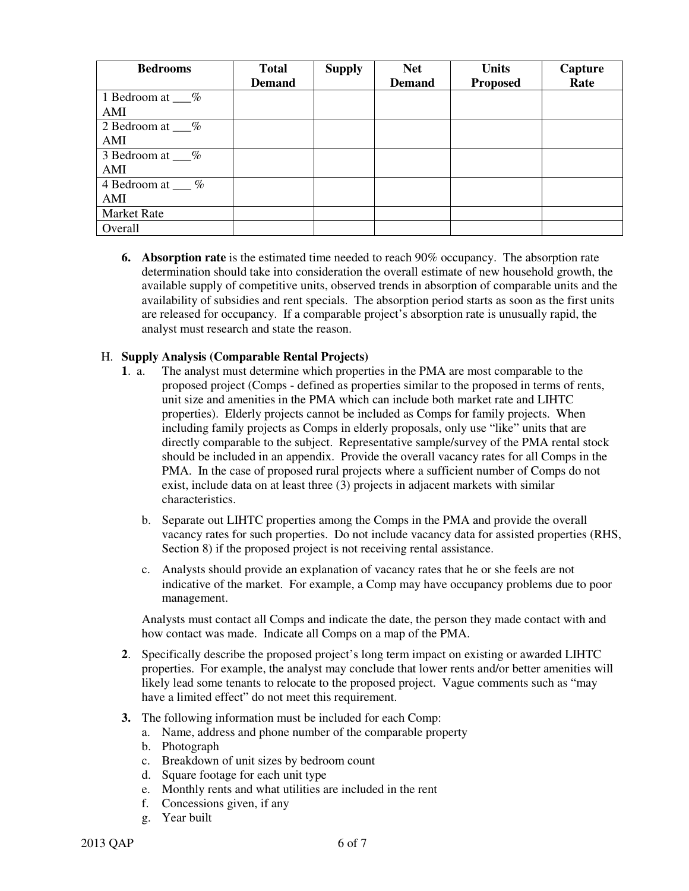| <b>Bedrooms</b>       | <b>Total</b>  | <b>Supply</b> | <b>Net</b>    | <b>Units</b>    | Capture |
|-----------------------|---------------|---------------|---------------|-----------------|---------|
|                       | <b>Demand</b> |               | <b>Demand</b> | <b>Proposed</b> | Rate    |
| 1 Bedroom at $\_\%$   |               |               |               |                 |         |
| AMI                   |               |               |               |                 |         |
| 2 Bedroom at $\_\%$   |               |               |               |                 |         |
| AMI                   |               |               |               |                 |         |
| 3 Bedroom at $\_\_\%$ |               |               |               |                 |         |
| AMI                   |               |               |               |                 |         |
| 4 Bedroom at ___ %    |               |               |               |                 |         |
| AMI                   |               |               |               |                 |         |
| <b>Market Rate</b>    |               |               |               |                 |         |
| Overall               |               |               |               |                 |         |

**6. Absorption rate** is the estimated time needed to reach 90% occupancy. The absorption rate determination should take into consideration the overall estimate of new household growth, the available supply of competitive units, observed trends in absorption of comparable units and the availability of subsidies and rent specials. The absorption period starts as soon as the first units are released for occupancy. If a comparable project's absorption rate is unusually rapid, the analyst must research and state the reason.

## H. **Supply Analysis (Comparable Rental Projects)**

- **1**. a. The analyst must determine which properties in the PMA are most comparable to the proposed project (Comps - defined as properties similar to the proposed in terms of rents, unit size and amenities in the PMA which can include both market rate and LIHTC properties). Elderly projects cannot be included as Comps for family projects. When including family projects as Comps in elderly proposals, only use "like" units that are directly comparable to the subject. Representative sample/survey of the PMA rental stock should be included in an appendix. Provide the overall vacancy rates for all Comps in the PMA. In the case of proposed rural projects where a sufficient number of Comps do not exist, include data on at least three (3) projects in adjacent markets with similar characteristics.
	- b. Separate out LIHTC properties among the Comps in the PMA and provide the overall vacancy rates for such properties. Do not include vacancy data for assisted properties (RHS, Section 8) if the proposed project is not receiving rental assistance.
	- c. Analysts should provide an explanation of vacancy rates that he or she feels are not indicative of the market. For example, a Comp may have occupancy problems due to poor management.

Analysts must contact all Comps and indicate the date, the person they made contact with and how contact was made. Indicate all Comps on a map of the PMA.

- **2**. Specifically describe the proposed project's long term impact on existing or awarded LIHTC properties. For example, the analyst may conclude that lower rents and/or better amenities will likely lead some tenants to relocate to the proposed project. Vague comments such as "may have a limited effect" do not meet this requirement.
- **3.** The following information must be included for each Comp:
	- a. Name, address and phone number of the comparable property
	- b. Photograph
	- c. Breakdown of unit sizes by bedroom count
	- d. Square footage for each unit type
	- e. Monthly rents and what utilities are included in the rent
	- f. Concessions given, if any
	- g. Year built